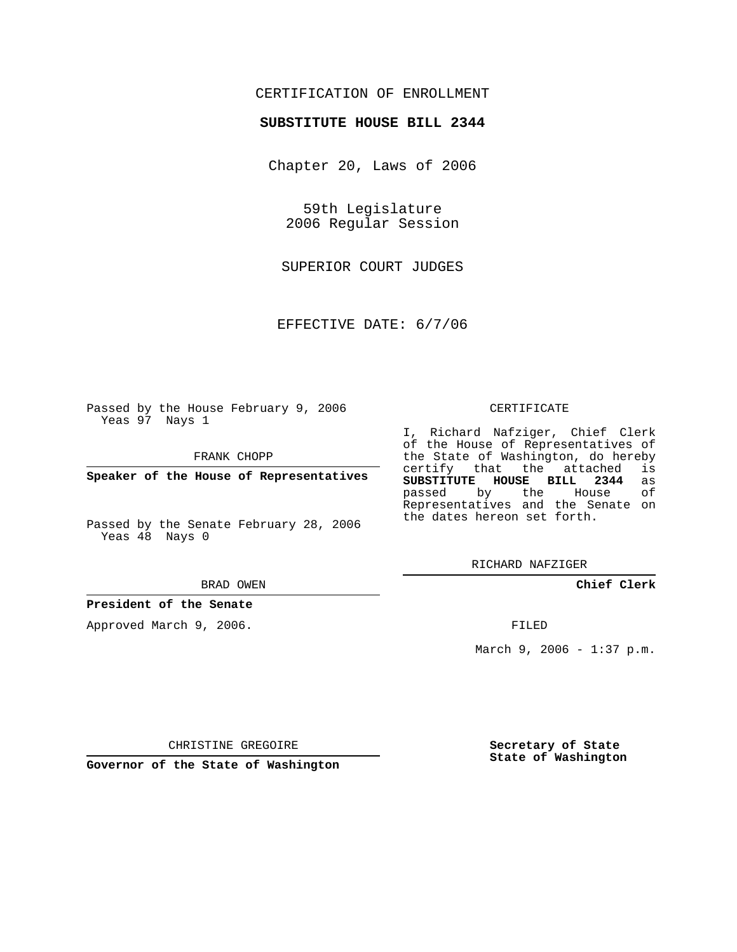## CERTIFICATION OF ENROLLMENT

## **SUBSTITUTE HOUSE BILL 2344**

Chapter 20, Laws of 2006

59th Legislature 2006 Regular Session

SUPERIOR COURT JUDGES

EFFECTIVE DATE: 6/7/06

Passed by the House February 9, 2006 Yeas 97 Nays 1

FRANK CHOPP

**Speaker of the House of Representatives**

Passed by the Senate February 28, 2006 Yeas 48 Nays 0

BRAD OWEN

**President of the Senate**

Approved March 9, 2006.

## CERTIFICATE

I, Richard Nafziger, Chief Clerk of the House of Representatives of the State of Washington, do hereby<br>certify that the attached is certify that the attached **SUBSTITUTE HOUSE BILL 2344** as passed by the House Representatives and the Senate on the dates hereon set forth.

RICHARD NAFZIGER

**Chief Clerk**

FILED

March 9, 2006 - 1:37 p.m.

CHRISTINE GREGOIRE

**Governor of the State of Washington**

**Secretary of State State of Washington**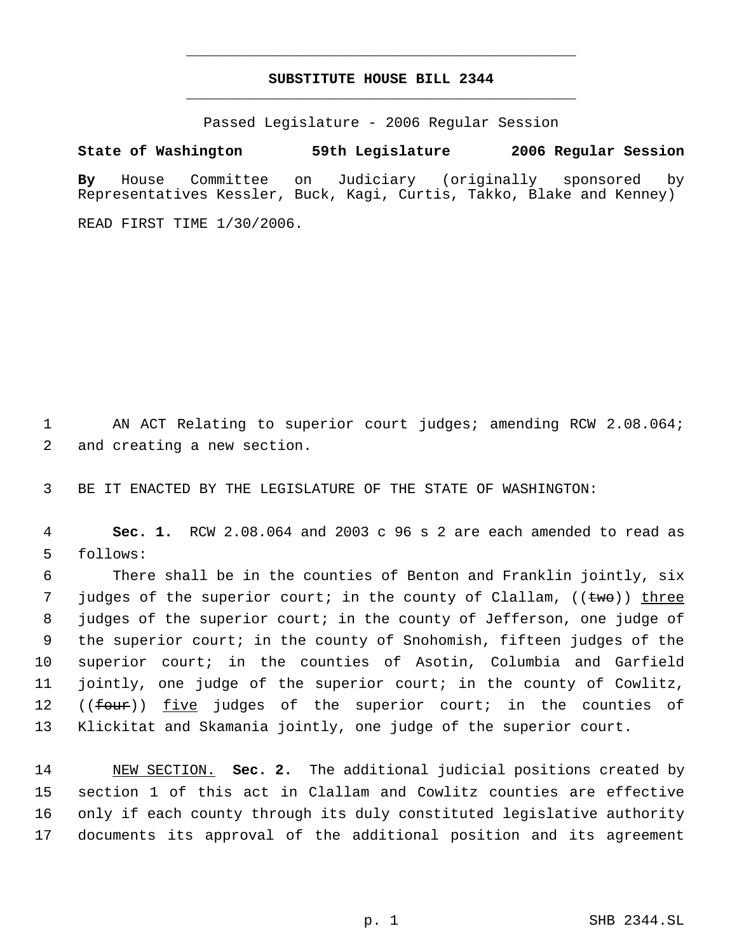## **SUBSTITUTE HOUSE BILL 2344** \_\_\_\_\_\_\_\_\_\_\_\_\_\_\_\_\_\_\_\_\_\_\_\_\_\_\_\_\_\_\_\_\_\_\_\_\_\_\_\_\_\_\_\_\_

\_\_\_\_\_\_\_\_\_\_\_\_\_\_\_\_\_\_\_\_\_\_\_\_\_\_\_\_\_\_\_\_\_\_\_\_\_\_\_\_\_\_\_\_\_

Passed Legislature - 2006 Regular Session

**State of Washington 59th Legislature 2006 Regular Session**

**By** House Committee on Judiciary (originally sponsored by Representatives Kessler, Buck, Kagi, Curtis, Takko, Blake and Kenney)

READ FIRST TIME 1/30/2006.

1 AN ACT Relating to superior court judges; amending RCW 2.08.064; 2 and creating a new section.

3 BE IT ENACTED BY THE LEGISLATURE OF THE STATE OF WASHINGTON:

 4 **Sec. 1.** RCW 2.08.064 and 2003 c 96 s 2 are each amended to read as 5 follows:

 There shall be in the counties of Benton and Franklin jointly, six 7 judges of the superior court; in the county of Clallam, ((<del>two</del>)) three judges of the superior court; in the county of Jefferson, one judge of the superior court; in the county of Snohomish, fifteen judges of the superior court; in the counties of Asotin, Columbia and Garfield jointly, one judge of the superior court; in the county of Cowlitz, 12 ((<del>four</del>)) <u>five</u> judges of the superior court; in the counties of Klickitat and Skamania jointly, one judge of the superior court.

 NEW SECTION. **Sec. 2.** The additional judicial positions created by section 1 of this act in Clallam and Cowlitz counties are effective only if each county through its duly constituted legislative authority documents its approval of the additional position and its agreement